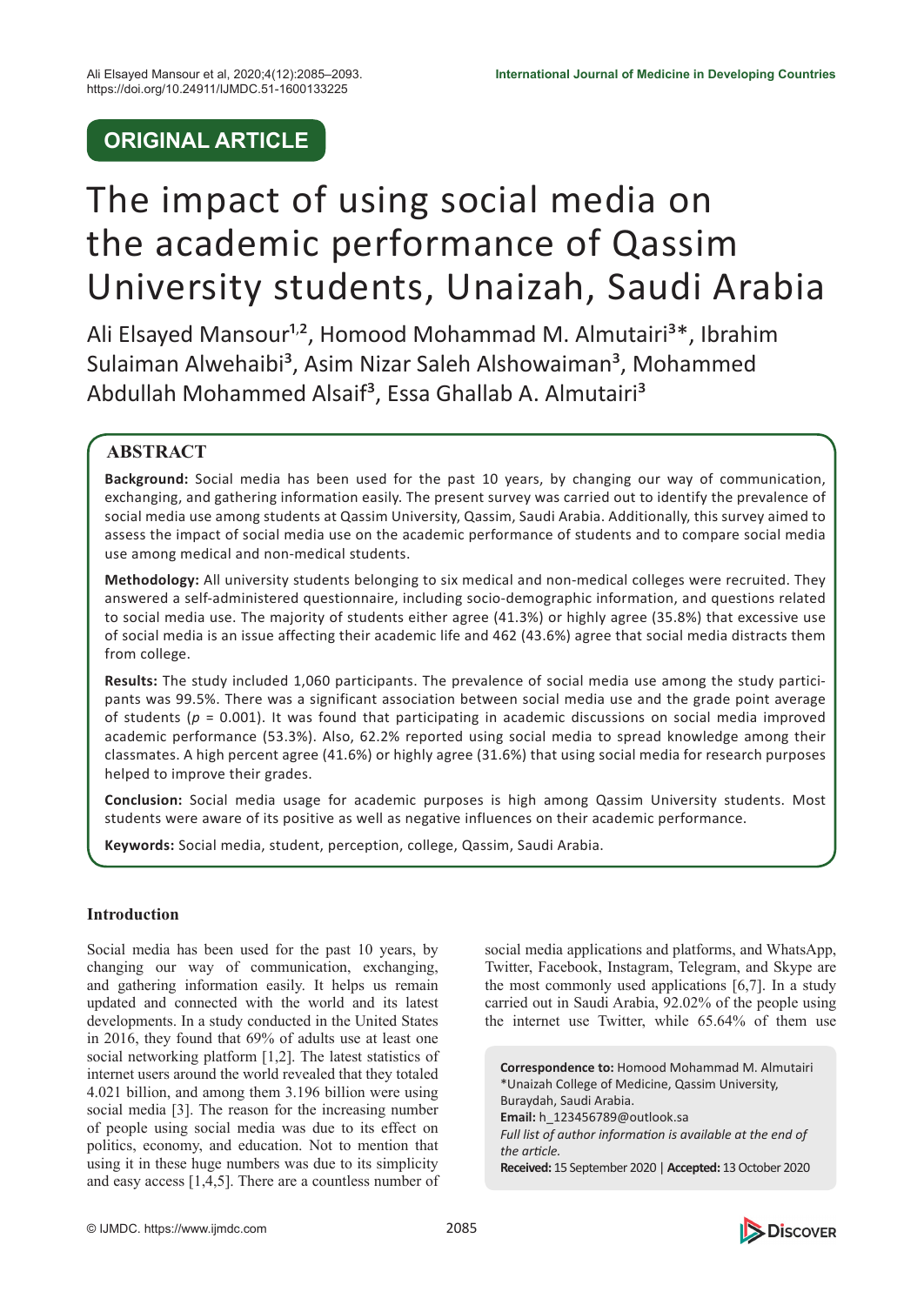# **ORIGINAL ARTICLE**

# The impact of using social media on the academic performance of Qassim University students, Unaizah, Saudi Arabia

Ali Elsayed Mansour<sup>1,2</sup>, Homood Mohammad M. Almutairi<sup>3\*</sup>, Ibrahim Sulaiman Alwehaibi<sup>3</sup>, Asim Nizar Saleh Alshowaiman<sup>3</sup>, Mohammed Abdullah Mohammed Alsaif<sup>3</sup>, Essa Ghallab A. Almutairi<sup>3</sup>

# **ABSTRACT**

**Background:** Social media has been used for the past 10 years, by changing our way of communication, exchanging, and gathering information easily. The present survey was carried out to identify the prevalence of social media use among students at Qassim University, Qassim, Saudi Arabia. Additionally, this survey aimed to assess the impact of social media use on the academic performance of students and to compare social media use among medical and non-medical students.

**Methodology:** All university students belonging to six medical and non-medical colleges were recruited. They answered a self-administered questionnaire, including socio-demographic information, and questions related to social media use. The majority of students either agree (41.3%) or highly agree (35.8%) that excessive use of social media is an issue affecting their academic life and 462 (43.6%) agree that social media distracts them from college.

**Results:** The study included 1,060 participants. The prevalence of social media use among the study participants was 99.5%. There was a significant association between social media use and the grade point average of students (*p* = 0.001). It was found that participating in academic discussions on social media improved academic performance (53.3%). Also, 62.2% reported using social media to spread knowledge among their classmates. A high percent agree (41.6%) or highly agree (31.6%) that using social media for research purposes helped to improve their grades.

**Conclusion:** Social media usage for academic purposes is high among Qassim University students. Most students were aware of its positive as well as negative influences on their academic performance.

**Keywords:** Social media, student, perception, college, Qassim, Saudi Arabia.

# **Introduction**

Social media has been used for the past 10 years, by changing our way of communication, exchanging, and gathering information easily. It helps us remain updated and connected with the world and its latest developments. In a study conducted in the United States in 2016, they found that 69% of adults use at least one social networking platform [1,2]. The latest statistics of internet users around the world revealed that they totaled 4.021 billion, and among them 3.196 billion were using social media [3]. The reason for the increasing number of people using social media was due to its effect on politics, economy, and education. Not to mention that using it in these huge numbers was due to its simplicity and easy access [1,4,5]. There are a countless number of

social media applications and platforms, and WhatsApp, Twitter, Facebook, Instagram, Telegram, and Skype are the most commonly used applications [6,7]. In a study carried out in Saudi Arabia, 92.02% of the people using the internet use Twitter, while 65.64% of them use

**Correspondence to:** Homood Mohammad M. Almutairi \*Unaizah College of Medicine, Qassim University, Buraydah, Saudi Arabia. **Email:** h\_123456789@outlook.sa *Full list of author information is available at the end of the article.* **Received:** 15 September 2020 | **Accepted:** 13 October 2020

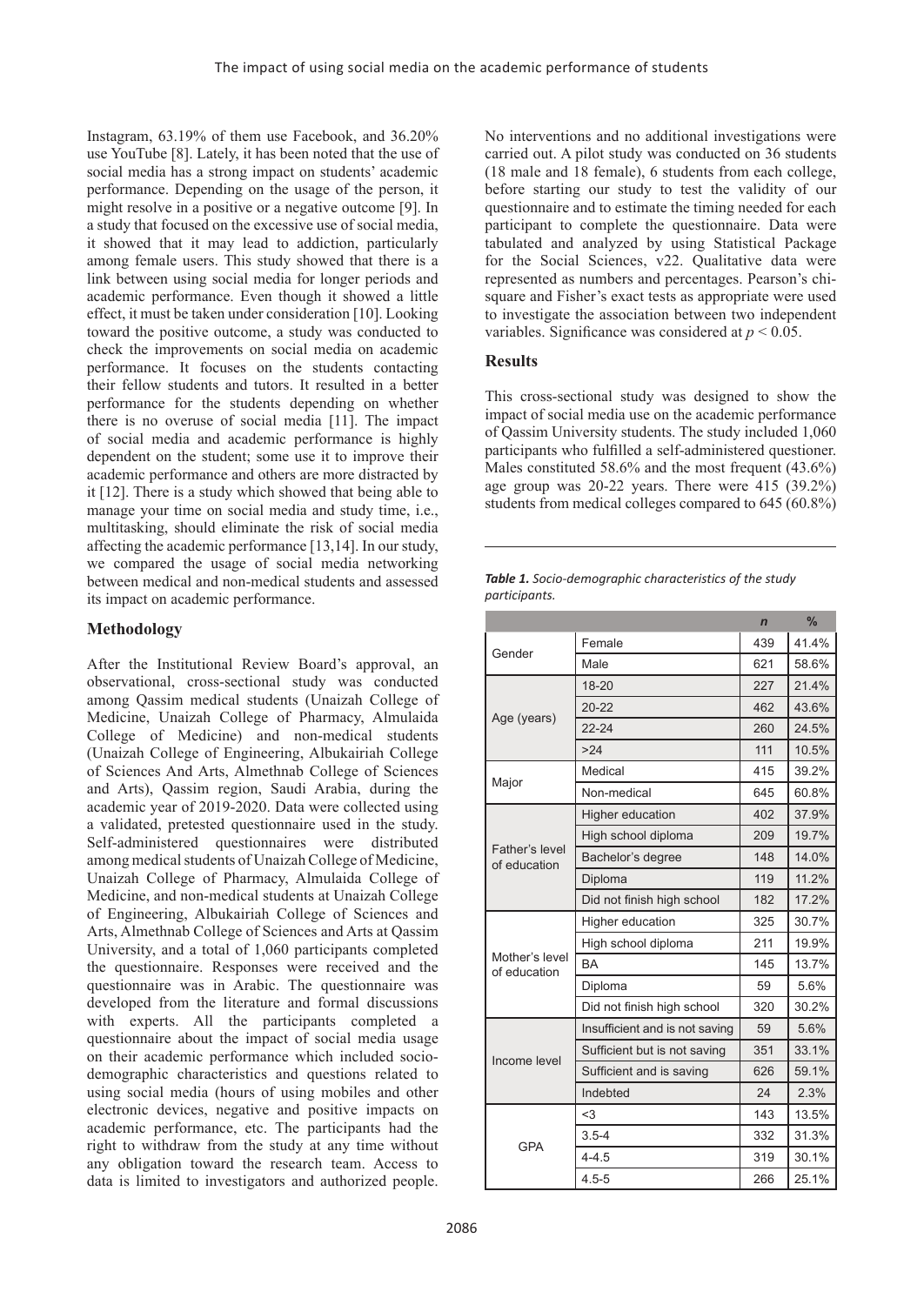Instagram, 63.19% of them use Facebook, and 36.20% use YouTube [8]. Lately, it has been noted that the use of social media has a strong impact on students' academic performance. Depending on the usage of the person, it might resolve in a positive or a negative outcome [9]. In a study that focused on the excessive use of social media, it showed that it may lead to addiction, particularly among female users. This study showed that there is a link between using social media for longer periods and academic performance. Even though it showed a little effect, it must be taken under consideration [10]. Looking toward the positive outcome, a study was conducted to check the improvements on social media on academic performance. It focuses on the students contacting their fellow students and tutors. It resulted in a better performance for the students depending on whether there is no overuse of social media [11]. The impact of social media and academic performance is highly dependent on the student; some use it to improve their academic performance and others are more distracted by it [12]. There is a study which showed that being able to manage your time on social media and study time, i.e., multitasking, should eliminate the risk of social media affecting the academic performance [13,14]. In our study, we compared the usage of social media networking between medical and non-medical students and assessed its impact on academic performance.

# **Methodology**

After the Institutional Review Board's approval, an observational, cross-sectional study was conducted among Qassim medical students (Unaizah College of Medicine, Unaizah College of Pharmacy, Almulaida College of Medicine) and non-medical students (Unaizah College of Engineering, Albukairiah College of Sciences And Arts, Almethnab College of Sciences and Arts), Qassim region, Saudi Arabia, during the academic year of 2019-2020. Data were collected using a validated, pretested questionnaire used in the study. Self-administered questionnaires were distributed among medical students of Unaizah College of Medicine, Unaizah College of Pharmacy, Almulaida College of Medicine, and non-medical students at Unaizah College of Engineering, Albukairiah College of Sciences and Arts, Almethnab College of Sciences and Arts at Qassim University, and a total of 1,060 participants completed the questionnaire. Responses were received and the questionnaire was in Arabic. The questionnaire was developed from the literature and formal discussions with experts. All the participants completed a questionnaire about the impact of social media usage on their academic performance which included sociodemographic characteristics and questions related to using social media (hours of using mobiles and other electronic devices, negative and positive impacts on academic performance, etc. The participants had the right to withdraw from the study at any time without any obligation toward the research team. Access to data is limited to investigators and authorized people.

No interventions and no additional investigations were carried out. A pilot study was conducted on 36 students (18 male and 18 female), 6 students from each college, before starting our study to test the validity of our questionnaire and to estimate the timing needed for each participant to complete the questionnaire. Data were tabulated and analyzed by using Statistical Package for the Social Sciences, v22. Qualitative data were represented as numbers and percentages. Pearson's chisquare and Fisher's exact tests as appropriate were used to investigate the association between two independent variables. Significance was considered at *p* < 0.05.

### **Results**

This cross-sectional study was designed to show the impact of social media use on the academic performance of Qassim University students. The study included 1,060 participants who fulfilled a self-administered questioner. Males constituted 58.6% and the most frequent (43.6%) age group was  $20-22$  years. There were  $415$   $(39.2\%)$ students from medical colleges compared to 645 (60.8%)

| <b>Table 1.</b> Socio-demographic characteristics of the study |
|----------------------------------------------------------------|
| participants.                                                  |

|                                |                                | $\overline{ }$ | ℅     |
|--------------------------------|--------------------------------|----------------|-------|
| Gender                         | Female                         | 439            | 41.4% |
|                                | Male                           | 621            | 58.6% |
|                                | 18-20                          | 227            | 21.4% |
| Age (years)                    | $20 - 22$                      | 462            | 43.6% |
|                                | $22 - 24$                      | 260            | 24.5% |
|                                | >24                            | 111            | 10.5% |
| Major                          | Medical                        | 415            | 39.2% |
|                                | Non-medical                    | 645            | 60.8% |
|                                | Higher education               | 402            | 37.9% |
|                                | High school diploma            | 209            | 19.7% |
| Father's level<br>of education | Bachelor's degree              | 148            | 14.0% |
|                                | Diploma                        | 119            | 11.2% |
|                                | Did not finish high school     | 182            | 17.2% |
|                                | Higher education               | 325            | 30.7% |
|                                | High school diploma            | 211            | 19.9% |
| Mother's level<br>of education | <b>BA</b>                      | 145            | 13.7% |
|                                | Diploma                        | 59             | 5.6%  |
|                                | Did not finish high school     | 320            | 30.2% |
|                                | Insufficient and is not saving | 59             | 5.6%  |
| Income level                   | Sufficient but is not saving   | 351            | 33.1% |
|                                | Sufficient and is saving       | 626            | 59.1% |
|                                | Indebted                       | 24             | 2.3%  |
|                                | $3$                            | 143            | 13.5% |
|                                | $3.5 - 4$                      | 332            | 31.3% |
| <b>GPA</b>                     | $4 - 4.5$                      | 319            | 30.1% |
|                                | $4.5 - 5$                      | 266            | 25.1% |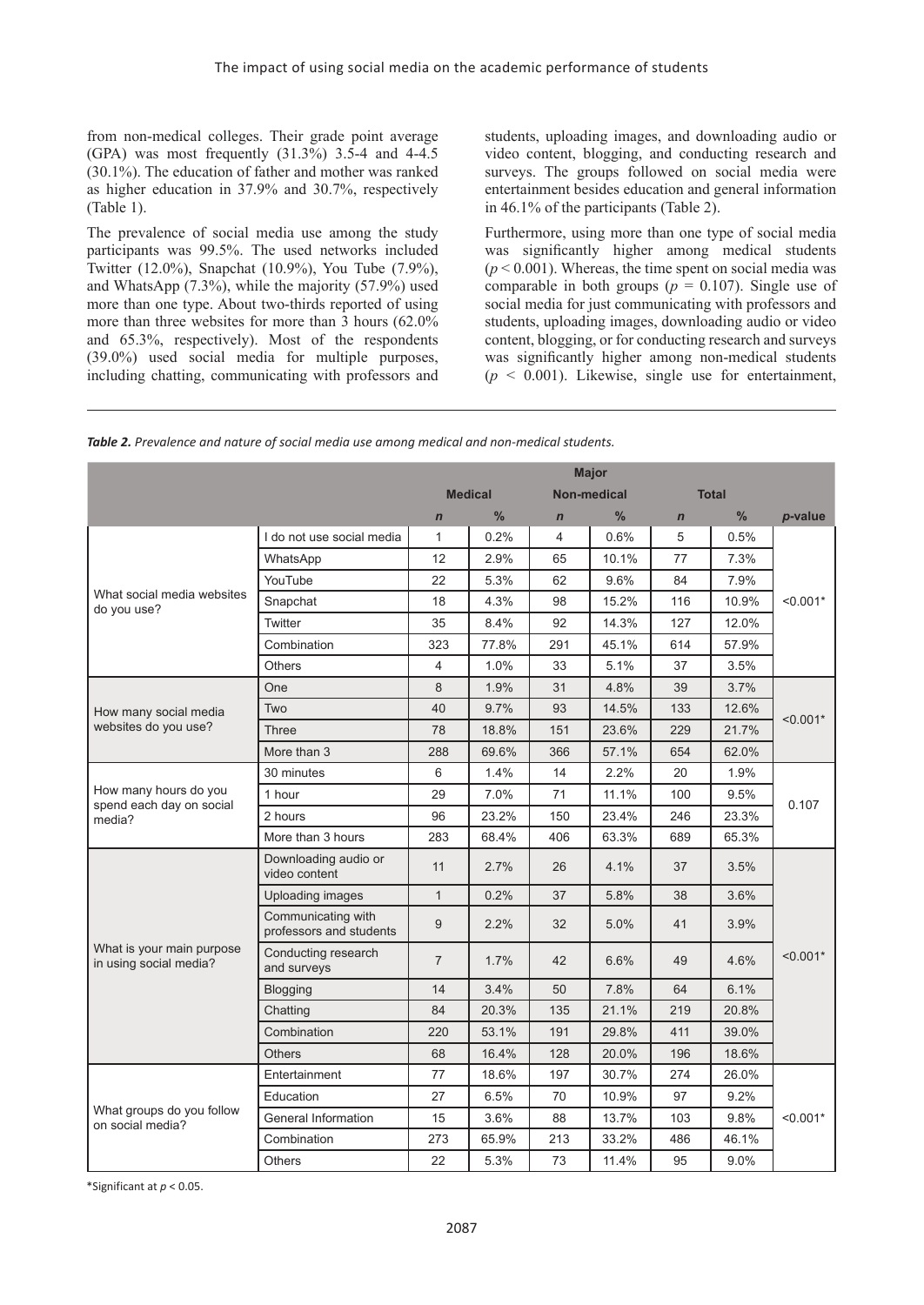from non-medical colleges. Their grade point average  $(GPA)$  was most frequently  $(31.3\%)$  3.5-4 and 4-4.5 (30.1%). The education of father and mother was ranked as higher education in 37.9% and 30.7%, respectively (Table 1).

The prevalence of social media use among the study participants was 99.5%. The used networks included Twitter (12.0%), Snapchat (10.9%), You Tube (7.9%), and WhatsApp (7.3%), while the majority (57.9%) used more than one type. About two-thirds reported of using more than three websites for more than 3 hours (62.0% and 65.3%, respectively). Most of the respondents (39.0%) used social media for multiple purposes, including chatting, communicating with professors and

students, uploading images, and downloading audio or video content, blogging, and conducting research and surveys. The groups followed on social media were entertainment besides education and general information in 46.1% of the participants (Table 2).

Furthermore, using more than one type of social media was significantly higher among medical students  $(p < 0.001)$ . Whereas, the time spent on social media was comparable in both groups ( $p = 0.107$ ). Single use of social media for just communicating with professors and students, uploading images, downloading audio or video content, blogging, or for conducting research and surveys was significantly higher among non-medical students  $(p \le 0.001)$ . Likewise, single use for entertainment,

|                                                     |                                               | <b>Major</b>   |                |             |                    |             |              |            |  |
|-----------------------------------------------------|-----------------------------------------------|----------------|----------------|-------------|--------------------|-------------|--------------|------------|--|
|                                                     |                                               |                | <b>Medical</b> |             | <b>Non-medical</b> |             | <b>Total</b> |            |  |
|                                                     |                                               | $\mathbf n$    | $\frac{0}{0}$  | $\mathbf n$ | $\frac{0}{0}$      | $\mathbf n$ | $\%$         | p-value    |  |
|                                                     | I do not use social media                     | $\mathbf{1}$   | 0.2%           | 4           | 0.6%               | 5           | 0.5%         |            |  |
|                                                     | WhatsApp                                      | 12             | 2.9%           | 65          | 10.1%              | 77          | 7.3%         |            |  |
|                                                     | YouTube                                       | 22             | 5.3%           | 62          | 9.6%               | 84          | 7.9%         |            |  |
| What social media websites<br>do you use?           | Snapchat                                      | 18             | 4.3%           | 98          | 15.2%              | 116         | 10.9%        | $< 0.001*$ |  |
|                                                     | Twitter                                       | 35             | 8.4%           | 92          | 14.3%              | 127         | 12.0%        |            |  |
|                                                     | Combination                                   | 323            | 77.8%          | 291         | 45.1%              | 614         | 57.9%        |            |  |
|                                                     | <b>Others</b>                                 | $\overline{4}$ | 1.0%           | 33          | 5.1%               | 37          | 3.5%         |            |  |
|                                                     | One                                           | 8              | 1.9%           | 31          | 4.8%               | 39          | 3.7%         |            |  |
| How many social media                               | Two                                           | 40             | 9.7%           | 93          | 14.5%              | 133         | 12.6%        | $< 0.001*$ |  |
| websites do you use?                                | <b>Three</b>                                  | 78             | 18.8%          | 151         | 23.6%              | 229         | 21.7%        |            |  |
|                                                     | More than 3                                   | 288            | 69.6%          | 366         | 57.1%              | 654         | 62.0%        |            |  |
|                                                     | 30 minutes                                    | 6              | 1.4%           | 14          | 2.2%               | 20          | 1.9%         |            |  |
| How many hours do you                               | 1 hour                                        | 29             | 7.0%           | 71          | 11.1%              | 100         | 9.5%         | 0.107      |  |
| spend each day on social<br>media?                  | 2 hours                                       | 96             | 23.2%          | 150         | 23.4%              | 246         | 23.3%        |            |  |
|                                                     | More than 3 hours                             | 283            | 68.4%          | 406         | 63.3%              | 689         | 65.3%        |            |  |
|                                                     | Downloading audio or<br>video content         | 11             | 2.7%           | 26          | 4.1%               | 37          | 3.5%         |            |  |
|                                                     | Uploading images                              | $\mathbf{1}$   | 0.2%           | 37          | 5.8%               | 38          | 3.6%         |            |  |
|                                                     | Communicating with<br>professors and students | 9              | 2.2%           | 32          | 5.0%               | 41          | 3.9%         |            |  |
| What is your main purpose<br>in using social media? | Conducting research<br>and surveys            | $\overline{7}$ | 1.7%           | 42          | 6.6%               | 49          | 4.6%         | $< 0.001*$ |  |
|                                                     | <b>Blogging</b>                               | 14             | 3.4%           | 50          | 7.8%               | 64          | 6.1%         |            |  |
|                                                     | Chatting                                      | 84             | 20.3%          | 135         | 21.1%              | 219         | 20.8%        |            |  |
|                                                     | Combination                                   | 220            | 53.1%          | 191         | 29.8%              | 411         | 39.0%        |            |  |
|                                                     | <b>Others</b>                                 | 68             | 16.4%          | 128         | 20.0%              | 196         | 18.6%        |            |  |
|                                                     | Entertainment                                 | 77             | 18.6%          | 197         | 30.7%              | 274         | 26.0%        |            |  |
|                                                     | Education                                     | 27             | 6.5%           | 70          | 10.9%              | 97          | 9.2%         |            |  |
| What groups do you follow<br>on social media?       | General Information                           | 15             | 3.6%           | 88          | 13.7%              | 103         | 9.8%         | $< 0.001*$ |  |
|                                                     | Combination                                   | 273            | 65.9%          | 213         | 33.2%              | 486         | 46.1%        |            |  |
|                                                     | <b>Others</b>                                 | 22             | 5.3%           | 73          | 11.4%              | 95          | 9.0%         |            |  |

*Table 2. Prevalence and nature of social media use among medical and non-medical students.*

\*Significant at *p* < 0.05.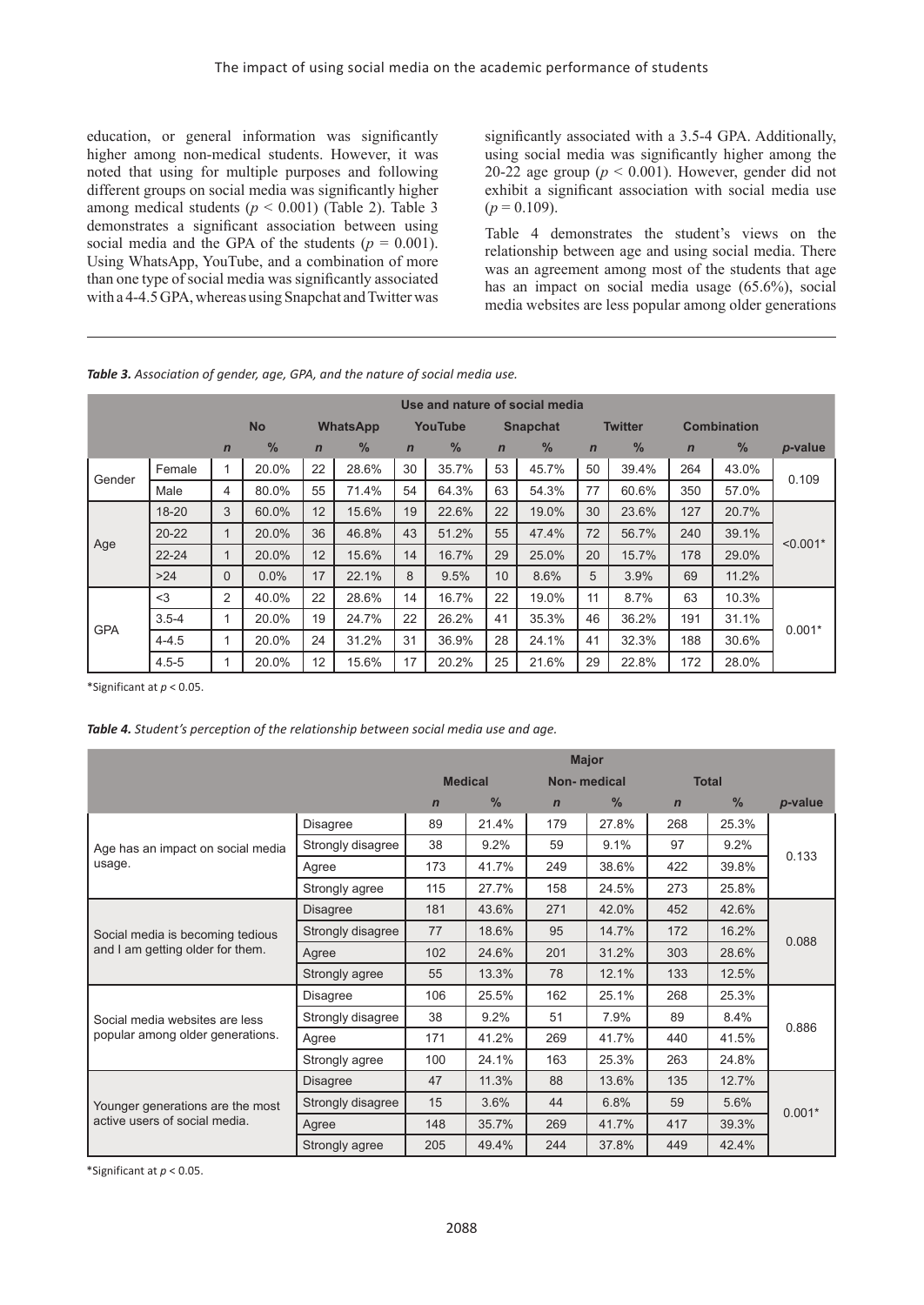education, or general information was significantly higher among non-medical students. However, it was noted that using for multiple purposes and following different groups on social media was significantly higher among medical students ( $p < 0.001$ ) (Table 2). Table 3 demonstrates a significant association between using social media and the GPA of the students ( $p = 0.001$ ). Using WhatsApp, YouTube, and a combination of more than one type of social media was significantly associated with a 4-4.5 GPA, whereas using Snapchat and Twitter was

significantly associated with a 3.5-4 GPA. Additionally, using social media was significantly higher among the 20-22 age group ( $p < 0.001$ ). However, gender did not exhibit a significant association with social media use  $(p = 0.109)$ .

Table 4 demonstrates the student's views on the relationship between age and using social media. There was an agreement among most of the students that age has an impact on social media usage (65.6%), social media websites are less popular among older generations

*Table 3. Association of gender, age, GPA, and the nature of social media use.*

| Use and nature of social media |           |                |               |                 |               |                |               |                 |               |                |               |                    |               |            |
|--------------------------------|-----------|----------------|---------------|-----------------|---------------|----------------|---------------|-----------------|---------------|----------------|---------------|--------------------|---------------|------------|
|                                |           |                | <b>No</b>     | <b>WhatsApp</b> |               | YouTube        |               | <b>Snapchat</b> |               | <b>Twitter</b> |               | <b>Combination</b> |               |            |
|                                |           | $\mathbf n$    | $\frac{0}{0}$ | $\mathbf n$     | $\frac{0}{0}$ | $\overline{n}$ | $\frac{0}{0}$ | $\mathbf n$     | $\frac{0}{6}$ | $\mathbf n$    | $\frac{9}{6}$ | $\mathbf n$        | $\frac{0}{6}$ | p-value    |
| Gender                         | Female    |                | 20.0%         | 22              | 28.6%         | 30             | 35.7%         | 53              | 45.7%         | 50             | 39.4%         | 264                | 43.0%         | 0.109      |
|                                | Male      | 4              | 80.0%         | 55              | 71.4%         | 54             | 64.3%         | 63              | 54.3%         | 77             | 60.6%         | 350                | 57.0%         |            |
|                                | $18 - 20$ | 3              | 60.0%         | 12              | 15.6%         | 19             | 22.6%         | 22              | 19.0%         | 30             | 23.6%         | 127                | 20.7%         | $< 0.001*$ |
|                                | $20 - 22$ |                | 20.0%         | 36              | 46.8%         | 43             | 51.2%         | 55              | 47.4%         | 72             | 56.7%         | 240                | 39.1%         |            |
| Age                            | $22 - 24$ |                | 20.0%         | 12              | 15.6%         | 14             | 16.7%         | 29              | 25.0%         | 20             | 15.7%         | 178                | 29.0%         |            |
|                                | >24       | $\Omega$       | 0.0%          | 17              | 22.1%         | 8              | 9.5%          | 10              | 8.6%          | 5              | 3.9%          | 69                 | 11.2%         |            |
|                                | $<$ 3     | $\overline{2}$ | 40.0%         | 22              | 28.6%         | 14             | 16.7%         | 22              | 19.0%         | 11             | 8.7%          | 63                 | 10.3%         |            |
| <b>GPA</b>                     | $3.5 - 4$ |                | 20.0%         | 19              | 24.7%         | 22             | 26.2%         | 41              | 35.3%         | 46             | 36.2%         | 191                | 31.1%         | $0.001*$   |
|                                | $4 - 4.5$ |                | 20.0%         | 24              | 31.2%         | 31             | 36.9%         | 28              | 24.1%         | 41             | 32.3%         | 188                | 30.6%         |            |
|                                | $4.5 - 5$ |                | 20.0%         | 12              | 15.6%         | 17             | 20.2%         | 25              | 21.6%         | 29             | 22.8%         | 172                | 28.0%         |            |

\*Significant at *p* < 0.05.

#### *Table 4. Student's perception of the relationship between social media use and age.*

|                                   |                   | <b>Major</b> |                |             |             |              |               |          |  |
|-----------------------------------|-------------------|--------------|----------------|-------------|-------------|--------------|---------------|----------|--|
|                                   |                   |              | <b>Medical</b> |             | Non-medical | <b>Total</b> |               |          |  |
|                                   |                   | $\mathbf n$  | $\%$           | $\mathbf n$ | $\%$        | $\mathbf n$  | $\frac{0}{0}$ | p-value  |  |
|                                   | <b>Disagree</b>   | 89           | 21.4%          | 179         | 27.8%       | 268          | 25.3%         |          |  |
| Age has an impact on social media | Strongly disagree | 38           | 9.2%           | 59          | 9.1%        | 97           | 9.2%          | 0.133    |  |
| usage.                            | Agree             | 173          | 41.7%          | 249         | 38.6%       | 422          | 39.8%         |          |  |
|                                   | Strongly agree    | 115          | 27.7%          | 158         | 24.5%       | 273          | 25.8%         |          |  |
|                                   | <b>Disagree</b>   | 181          | 43.6%          | 271         | 42.0%       | 452          | 42.6%         |          |  |
| Social media is becoming tedious  | Strongly disagree | 77           | 18.6%          | 95          | 14.7%       | 172          | 16.2%         |          |  |
| and I am getting older for them.  | Agree             | 102          | 24.6%          | 201         | 31.2%       | 303          | 28.6%         | 0.088    |  |
|                                   | Strongly agree    | 55           | 13.3%          | 78          | 12.1%       | 133          | 12.5%         |          |  |
|                                   | <b>Disagree</b>   | 106          | 25.5%          | 162         | 25.1%       | 268          | 25.3%         |          |  |
| Social media websites are less    | Strongly disagree | 38           | 9.2%           | 51          | 7.9%        | 89           | 8.4%          | 0.886    |  |
| popular among older generations.  | Agree             | 171          | 41.2%          | 269         | 41.7%       | 440          | 41.5%         |          |  |
|                                   | Strongly agree    | 100          | 24.1%          | 163         | 25.3%       | 263          | 24.8%         |          |  |
|                                   | <b>Disagree</b>   | 47           | 11.3%          | 88          | 13.6%       | 135          | 12.7%         |          |  |
| Younger generations are the most  | Strongly disagree | 15           | 3.6%           | 44          | 6.8%        | 59           | 5.6%          |          |  |
| active users of social media.     | Agree             | 148          | 35.7%          | 269         | 41.7%       | 417          | 39.3%         | $0.001*$ |  |
|                                   | Strongly agree    | 205          | 49.4%          | 244         | 37.8%       | 449          | 42.4%         |          |  |

\*Significant at *p* < 0.05.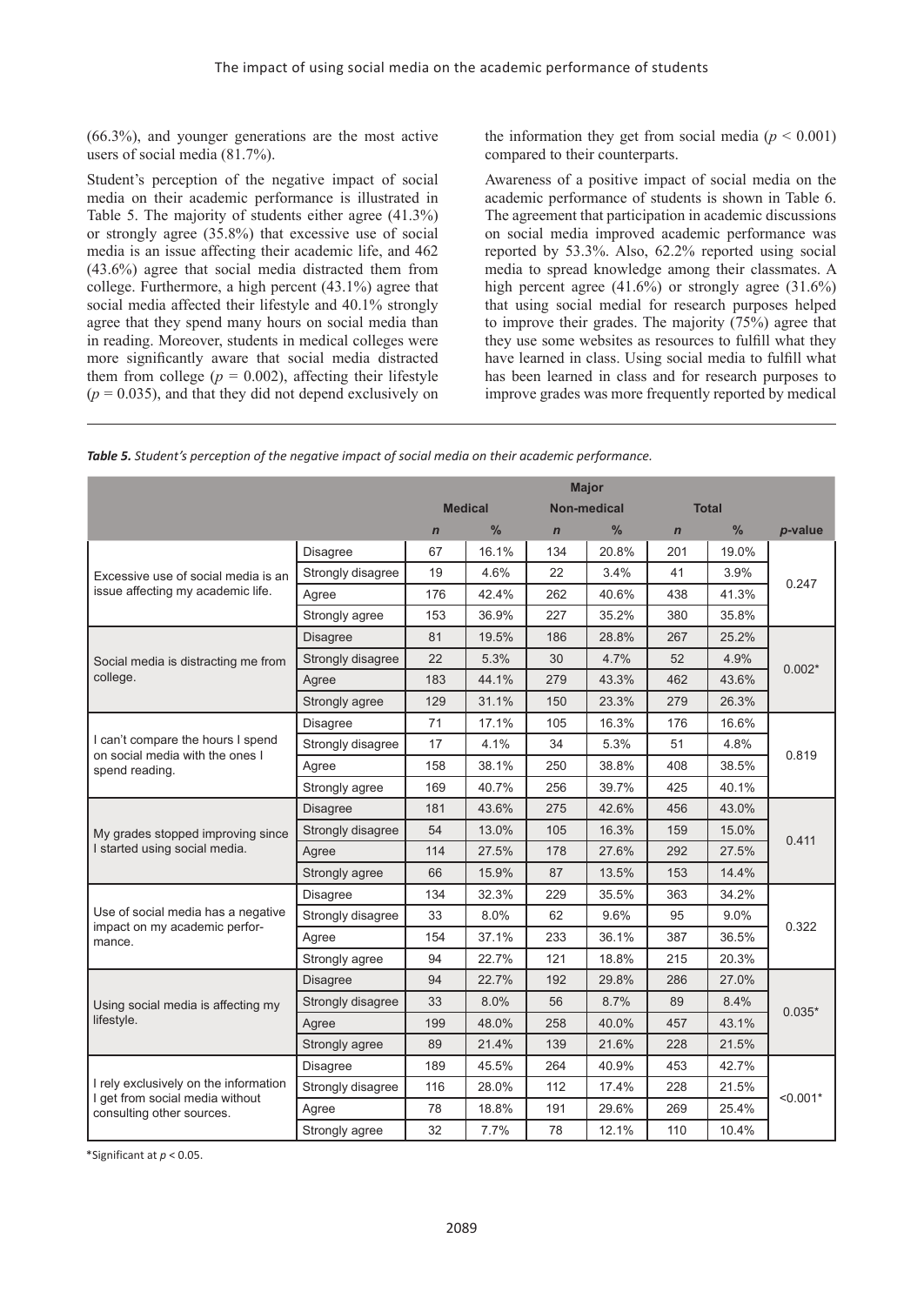(66.3%), and younger generations are the most active users of social media (81.7%).

Student's perception of the negative impact of social media on their academic performance is illustrated in Table 5. The majority of students either agree (41.3%) or strongly agree (35.8%) that excessive use of social media is an issue affecting their academic life, and 462 (43.6%) agree that social media distracted them from college. Furthermore, a high percent (43.1%) agree that social media affected their lifestyle and 40.1% strongly agree that they spend many hours on social media than in reading. Moreover, students in medical colleges were more significantly aware that social media distracted them from college ( $p = 0.002$ ), affecting their lifestyle  $(p = 0.035)$ , and that they did not depend exclusively on

the information they get from social media ( $p < 0.001$ ) compared to their counterparts.

Awareness of a positive impact of social media on the academic performance of students is shown in Table 6. The agreement that participation in academic discussions on social media improved academic performance was reported by 53.3%. Also, 62.2% reported using social media to spread knowledge among their classmates. A high percent agree  $(41.6\%)$  or strongly agree  $(31.6\%)$ that using social medial for research purposes helped to improve their grades. The majority (75%) agree that they use some websites as resources to fulfill what they have learned in class. Using social media to fulfill what has been learned in class and for research purposes to improve grades was more frequently reported by medical

|  |  |  |  |  |  |  |  |  |  | Table 5. Student's perception of the negative impact of social media on their academic performance. |
|--|--|--|--|--|--|--|--|--|--|-----------------------------------------------------------------------------------------------------|
|--|--|--|--|--|--|--|--|--|--|-----------------------------------------------------------------------------------------------------|

|                                                                          |                   | <b>Major</b> |                |             |                    |              |       |            |  |
|--------------------------------------------------------------------------|-------------------|--------------|----------------|-------------|--------------------|--------------|-------|------------|--|
|                                                                          |                   |              | <b>Medical</b> |             | <b>Non-medical</b> | <b>Total</b> |       |            |  |
|                                                                          |                   | $\mathbf n$  | $\frac{0}{0}$  | $\mathbf n$ | $\frac{0}{0}$      | $\mathbf n$  | $\%$  | p-value    |  |
|                                                                          | <b>Disagree</b>   | 67           | 16.1%          | 134         | 20.8%              | 201          | 19.0% |            |  |
| Excessive use of social media is an                                      | Strongly disagree | 19           | 4.6%           | 22          | 3.4%               | 41           | 3.9%  | 0.247      |  |
| issue affecting my academic life.                                        | Agree             | 176          | 42.4%          | 262         | 40.6%              | 438          | 41.3% |            |  |
|                                                                          | Strongly agree    | 153          | 36.9%          | 227         | 35.2%              | 380          | 35.8% |            |  |
|                                                                          | <b>Disagree</b>   | 81           | 19.5%          | 186         | 28.8%              | 267          | 25.2% |            |  |
| Social media is distracting me from                                      | Strongly disagree | 22           | 5.3%           | 30          | 4.7%               | 52           | 4.9%  | $0.002*$   |  |
| college.                                                                 | Agree             | 183          | 44.1%          | 279         | 43.3%              | 462          | 43.6% |            |  |
|                                                                          | Strongly agree    | 129          | 31.1%          | 150         | 23.3%              | 279          | 26.3% |            |  |
|                                                                          | Disagree          | 71           | 17.1%          | 105         | 16.3%              | 176          | 16.6% |            |  |
| I can't compare the hours I spend<br>on social media with the ones I     | Strongly disagree | 17           | 4.1%           | 34          | 5.3%               | 51           | 4.8%  | 0.819      |  |
| spend reading.                                                           | Agree             | 158          | 38.1%          | 250         | 38.8%              | 408          | 38.5% |            |  |
|                                                                          | Strongly agree    | 169          | 40.7%          | 256         | 39.7%              | 425          | 40.1% |            |  |
|                                                                          | <b>Disagree</b>   | 181          | 43.6%          | 275         | 42.6%              | 456          | 43.0% |            |  |
| My grades stopped improving since                                        | Strongly disagree | 54           | 13.0%          | 105         | 16.3%              | 159          | 15.0% |            |  |
| I started using social media.                                            | Agree             | 114          | 27.5%          | 178         | 27.6%              | 292          | 27.5% | 0.411      |  |
|                                                                          | Strongly agree    | 66           | 15.9%          | 87          | 13.5%              | 153          | 14.4% |            |  |
|                                                                          | <b>Disagree</b>   | 134          | 32.3%          | 229         | 35.5%              | 363          | 34.2% |            |  |
| Use of social media has a negative                                       | Strongly disagree | 33           | 8.0%           | 62          | 9.6%               | 95           | 9.0%  | 0.322      |  |
| impact on my academic perfor-<br>mance.                                  | Agree             | 154          | 37.1%          | 233         | 36.1%              | 387          | 36.5% |            |  |
|                                                                          | Strongly agree    | 94           | 22.7%          | 121         | 18.8%              | 215          | 20.3% |            |  |
|                                                                          | <b>Disagree</b>   | 94           | 22.7%          | 192         | 29.8%              | 286          | 27.0% |            |  |
| Using social media is affecting my                                       | Strongly disagree | 33           | 8.0%           | 56          | 8.7%               | 89           | 8.4%  | $0.035*$   |  |
| lifestyle.                                                               | Agree             | 199          | 48.0%          | 258         | 40.0%              | 457          | 43.1% |            |  |
|                                                                          | Strongly agree    | 89           | 21.4%          | 139         | 21.6%              | 228          | 21.5% |            |  |
|                                                                          | <b>Disagree</b>   | 189          | 45.5%          | 264         | 40.9%              | 453          | 42.7% |            |  |
| I rely exclusively on the information<br>I get from social media without | Strongly disagree | 116          | 28.0%          | 112         | 17.4%              | 228          | 21.5% | $< 0.001*$ |  |
| consulting other sources.                                                | Agree             | 78           | 18.8%          | 191         | 29.6%              | 269          | 25.4% |            |  |
|                                                                          | Strongly agree    | 32           | 7.7%           | 78          | 12.1%              | 110          | 10.4% |            |  |

\*Significant at *p* < 0.05.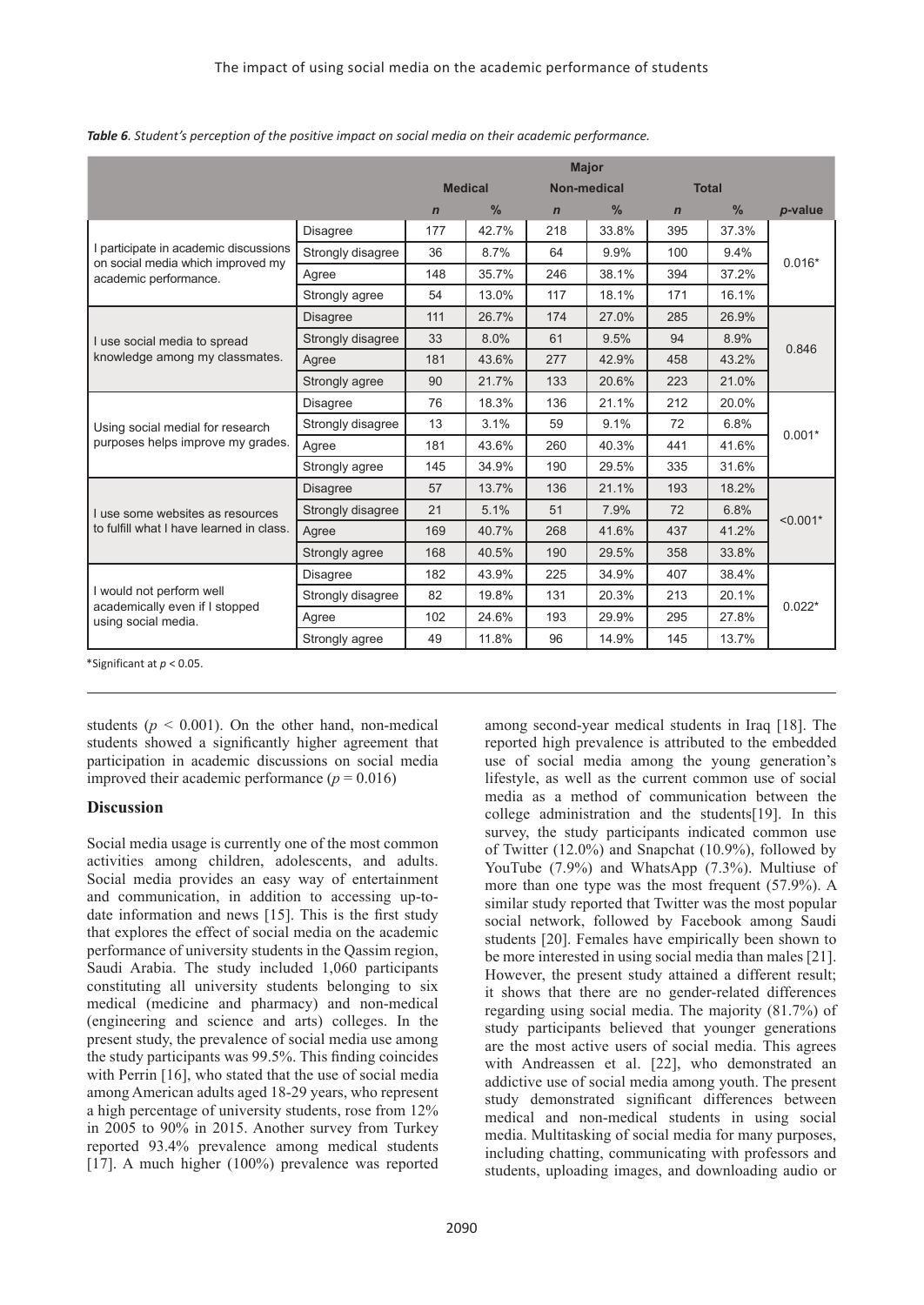|                                                                                   |                   | <b>Major</b> |                |             |                    |              |               |            |
|-----------------------------------------------------------------------------------|-------------------|--------------|----------------|-------------|--------------------|--------------|---------------|------------|
|                                                                                   |                   |              | <b>Medical</b> |             | <b>Non-medical</b> | <b>Total</b> |               |            |
|                                                                                   |                   | $\mathbf n$  | $\frac{0}{0}$  | $\mathbf n$ | $\frac{0}{0}$      | $\mathbf n$  | $\frac{0}{0}$ | p-value    |
|                                                                                   | <b>Disagree</b>   | 177          | 42.7%          | 218         | 33.8%              | 395          | 37.3%         |            |
| I participate in academic discussions<br>on social media which improved my        | Strongly disagree | 36           | 8.7%           | 64          | 9.9%               | 100          | 9.4%          | $0.016*$   |
| academic performance.                                                             | Agree             | 148          | 35.7%          | 246         | 38.1%              | 394          | 37.2%         |            |
|                                                                                   | Strongly agree    | 54           | 13.0%          | 117         | 18.1%              | 171          | 16.1%         |            |
|                                                                                   | <b>Disagree</b>   | 111          | 26.7%          | 174         | 27.0%              | 285          | 26.9%         |            |
| I use social media to spread                                                      | Strongly disagree | 33           | 8.0%           | 61          | 9.5%               | 94           | 8.9%          | 0.846      |
| knowledge among my classmates.                                                    | Agree             | 181          | 43.6%          | 277         | 42.9%              | 458          | 43.2%         |            |
|                                                                                   | Strongly agree    | 90           | 21.7%          | 133         | 20.6%              | 223          | 21.0%         |            |
|                                                                                   | <b>Disagree</b>   | 76           | 18.3%          | 136         | 21.1%              | 212          | 20.0%         |            |
| Using social medial for research                                                  | Strongly disagree | 13           | 3.1%           | 59          | 9.1%               | 72           | 6.8%          | $0.001*$   |
| purposes helps improve my grades.                                                 | Agree             | 181          | 43.6%          | 260         | 40.3%              | 441          | 41.6%         |            |
|                                                                                   | Strongly agree    | 145          | 34.9%          | 190         | 29.5%              | 335          | 31.6%         |            |
|                                                                                   | <b>Disagree</b>   | 57           | 13.7%          | 136         | 21.1%              | 193          | 18.2%         |            |
| I use some websites as resources                                                  | Strongly disagree | 21           | 5.1%           | 51          | 7.9%               | 72           | 6.8%          | $< 0.001*$ |
| to fulfill what I have learned in class.                                          | Agree             | 169          | 40.7%          | 268         | 41.6%              | 437          | 41.2%         |            |
|                                                                                   | Strongly agree    | 168          | 40.5%          | 190         | 29.5%              | 358          | 33.8%         |            |
|                                                                                   | <b>Disagree</b>   | 182          | 43.9%          | 225         | 34.9%              | 407          | 38.4%         |            |
| I would not perform well<br>academically even if I stopped<br>using social media. | Strongly disagree | 82           | 19.8%          | 131         | 20.3%              | 213          | 20.1%         |            |
|                                                                                   | Agree             | 102          | 24.6%          | 193         | 29.9%              | 295          | 27.8%         | $0.022*$   |
|                                                                                   | Strongly agree    | 49           | 11.8%          | 96          | 14.9%              | 145          | 13.7%         |            |

*Table 6. Student's perception of the positive impact on social media on their academic performance.*

\*Significant at *p* < 0.05.

students ( $p < 0.001$ ). On the other hand, non-medical students showed a significantly higher agreement that participation in academic discussions on social media improved their academic performance  $(p = 0.016)$ 

### **Discussion**

Social media usage is currently one of the most common activities among children, adolescents, and adults. Social media provides an easy way of entertainment and communication, in addition to accessing up-todate information and news [15]. This is the first study that explores the effect of social media on the academic performance of university students in the Qassim region, Saudi Arabia. The study included 1,060 participants constituting all university students belonging to six medical (medicine and pharmacy) and non-medical (engineering and science and arts) colleges. In the present study, the prevalence of social media use among the study participants was 99.5%. This finding coincides with Perrin [16], who stated that the use of social media among American adults aged 18-29 years, who represent a high percentage of university students, rose from 12% in 2005 to 90% in 2015. Another survey from Turkey reported 93.4% prevalence among medical students [17]. A much higher (100%) prevalence was reported

among second-year medical students in Iraq [18]. The reported high prevalence is attributed to the embedded use of social media among the young generation's lifestyle, as well as the current common use of social media as a method of communication between the college administration and the students[19]. In this survey, the study participants indicated common use of Twitter (12.0%) and Snapchat (10.9%), followed by YouTube (7.9%) and WhatsApp (7.3%). Multiuse of more than one type was the most frequent (57.9%). A similar study reported that Twitter was the most popular social network, followed by Facebook among Saudi students [20]. Females have empirically been shown to be more interested in using social media than males [21]. However, the present study attained a different result; it shows that there are no gender-related differences regarding using social media. The majority (81.7%) of study participants believed that younger generations are the most active users of social media. This agrees with Andreassen et al. [22], who demonstrated an addictive use of social media among youth. The present study demonstrated significant differences between medical and non-medical students in using social media. Multitasking of social media for many purposes, including chatting, communicating with professors and students, uploading images, and downloading audio or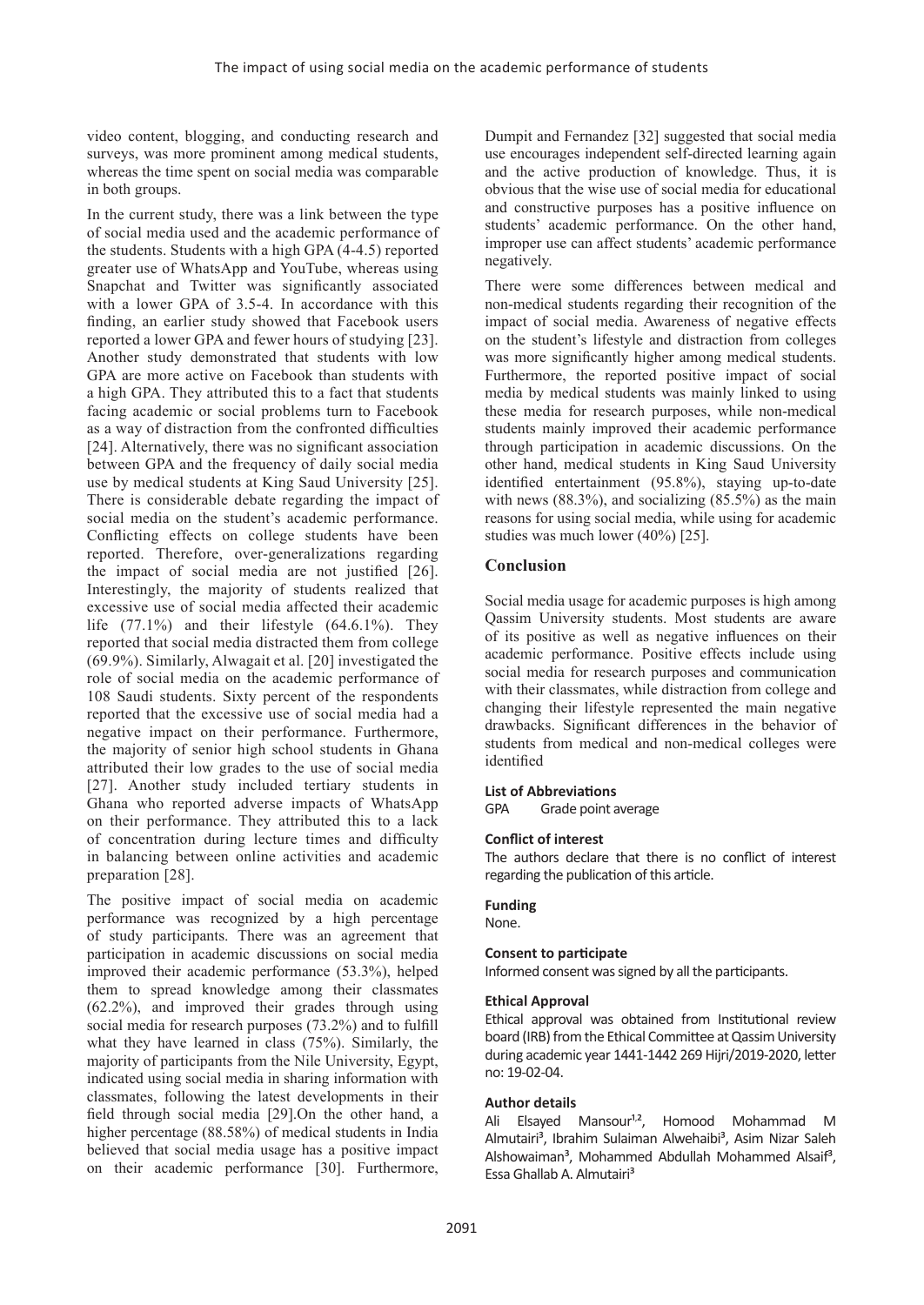video content, blogging, and conducting research and surveys, was more prominent among medical students, whereas the time spent on social media was comparable in both groups.

In the current study, there was a link between the type of social media used and the academic performance of the students. Students with a high GPA (4-4.5) reported greater use of WhatsApp and YouTube, whereas using Snapchat and Twitter was significantly associated with a lower GPA of 3.5-4. In accordance with this finding, an earlier study showed that Facebook users reported a lower GPA and fewer hours of studying [23]. Another study demonstrated that students with low GPA are more active on Facebook than students with a high GPA. They attributed this to a fact that students facing academic or social problems turn to Facebook as a way of distraction from the confronted difficulties [24]. Alternatively, there was no significant association between GPA and the frequency of daily social media use by medical students at King Saud University [25]. There is considerable debate regarding the impact of social media on the student's academic performance. Conflicting effects on college students have been reported. Therefore, over-generalizations regarding the impact of social media are not justified [26]. Interestingly, the majority of students realized that excessive use of social media affected their academic life  $(77.1\%)$  and their lifestyle  $(64.6.1\%)$ . They reported that social media distracted them from college (69.9%). Similarly, Alwagait et al. [20] investigated the role of social media on the academic performance of 108 Saudi students. Sixty percent of the respondents reported that the excessive use of social media had a negative impact on their performance. Furthermore, the majority of senior high school students in Ghana attributed their low grades to the use of social media [27]. Another study included tertiary students in Ghana who reported adverse impacts of WhatsApp on their performance. They attributed this to a lack of concentration during lecture times and difficulty in balancing between online activities and academic preparation [28].

The positive impact of social media on academic performance was recognized by a high percentage of study participants. There was an agreement that participation in academic discussions on social media improved their academic performance (53.3%), helped them to spread knowledge among their classmates (62.2%), and improved their grades through using social media for research purposes (73.2%) and to fulfill what they have learned in class (75%). Similarly, the majority of participants from the Nile University, Egypt, indicated using social media in sharing information with classmates, following the latest developments in their field through social media [29].On the other hand, a higher percentage (88.58%) of medical students in India believed that social media usage has a positive impact on their academic performance [30]. Furthermore,

Dumpit and Fernandez [32] suggested that social media use encourages independent self-directed learning again and the active production of knowledge. Thus, it is obvious that the wise use of social media for educational and constructive purposes has a positive influence on students' academic performance. On the other hand, improper use can affect students' academic performance negatively.

There were some differences between medical and non-medical students regarding their recognition of the impact of social media. Awareness of negative effects on the student's lifestyle and distraction from colleges was more significantly higher among medical students. Furthermore, the reported positive impact of social media by medical students was mainly linked to using these media for research purposes, while non-medical students mainly improved their academic performance through participation in academic discussions. On the other hand, medical students in King Saud University identified entertainment (95.8%), staying up-to-date with news  $(88.3\%)$ , and socializing  $(85.5\%)$  as the main reasons for using social media, while using for academic studies was much lower (40%) [25].

# **Conclusion**

Social media usage for academic purposes is high among Qassim University students. Most students are aware of its positive as well as negative influences on their academic performance. Positive effects include using social media for research purposes and communication with their classmates, while distraction from college and changing their lifestyle represented the main negative drawbacks. Significant differences in the behavior of students from medical and non-medical colleges were identified

#### **List of Abbreviations**

GPA Grade point average

#### **Conflict of interest**

The authors declare that there is no conflict of interest regarding the publication of this article.

#### **Funding**

None.

# **Consent to participate**

Informed consent was signed by all the participants.

### **Ethical Approval**

Ethical approval was obtained from Institutional review board (IRB) from the Ethical Committee at Qassim University during academic year 1441-1442 269 Hijri/2019-2020, letter no: 19-02-04.

#### **Author details**

Ali Elsayed Mansour<sup>1,2</sup>, Homood Mohammad M Almutairi<sup>3</sup>, Ibrahim Sulaiman Alwehaibi<sup>3</sup>, Asim Nizar Saleh Alshowaiman<sup>3</sup>, Mohammed Abdullah Mohammed Alsaif<sup>3</sup>, Essa Ghallab A. Almutairi<sup>3</sup>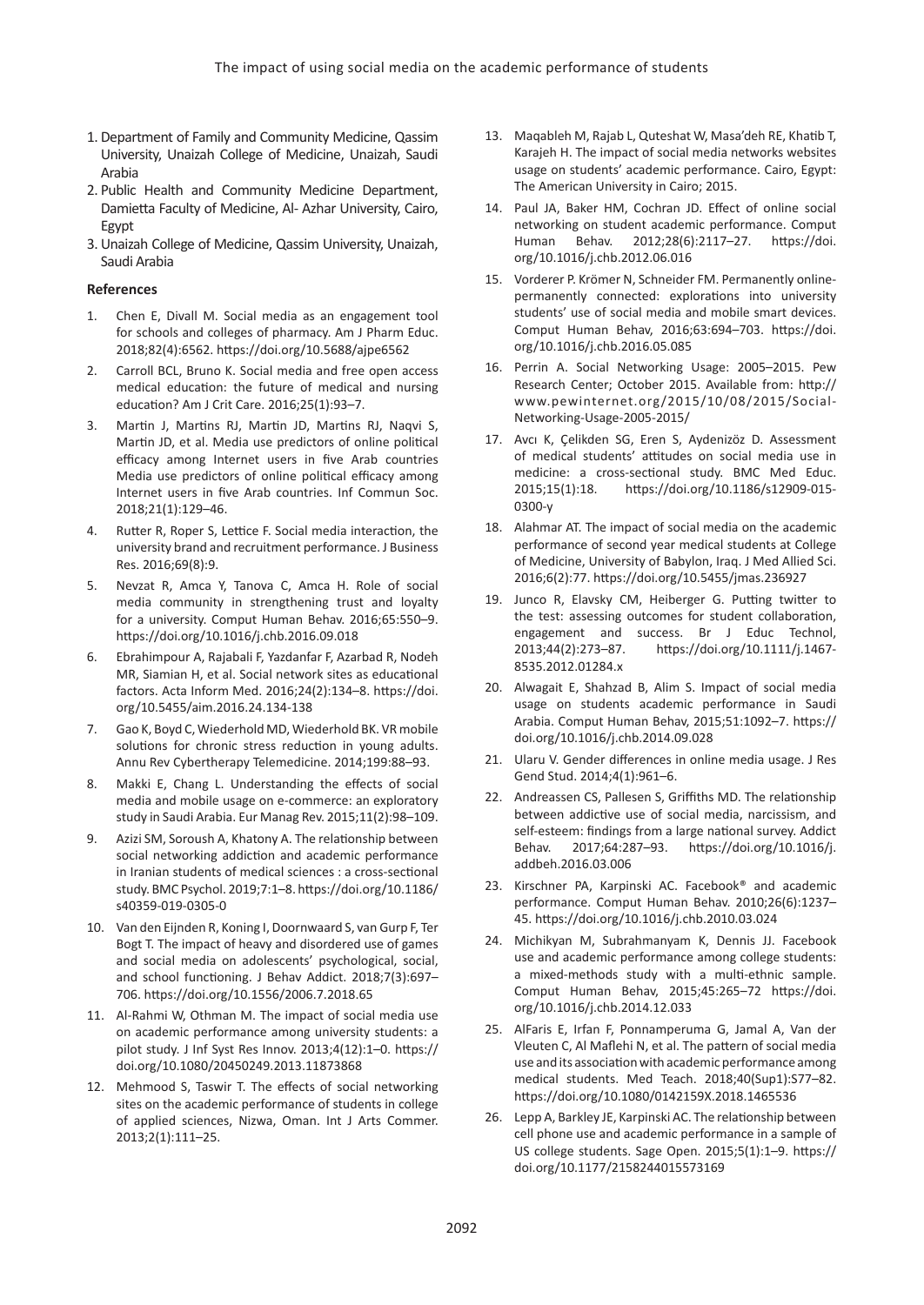- 1. Department of Family and Community Medicine, Qassim University, Unaizah College of Medicine, Unaizah, Saudi Arabia
- 2. Public Health and Community Medicine Department, Damietta Faculty of Medicine, Al- Azhar University, Cairo, Egypt
- 3. Unaizah College of Medicine, Qassim University, Unaizah, Saudi Arabia

#### **References**

- 1. Chen E, Divall M. Social media as an engagement tool for schools and colleges of pharmacy. Am J Pharm Educ. 2018;82(4):6562. <https://doi.org/10.5688/ajpe6562>
- 2. Carroll BCL, Bruno K. Social media and free open access medical education: the future of medical and nursing education? Am J Crit Care. 2016;25(1):93–7.
- 3. Martin J, Martins RJ, Martin JD, Martins RJ, Naqvi S, Martin JD, et al. Media use predictors of online political efficacy among Internet users in five Arab countries Media use predictors of online political efficacy among Internet users in five Arab countries. Inf Commun Soc. 2018;21(1):129–46.
- 4. Rutter R, Roper S, Lettice F. Social media interaction, the university brand and recruitment performance. J Business Res. 2016;69(8):9.
- 5. Nevzat R, Amca Y, Tanova C, Amca H. Role of social media community in strengthening trust and loyalty for a university. Comput Human Behav. 2016;65:550–9. <https://doi.org/10.1016/j.chb.2016.09.018>
- 6. Ebrahimpour A, Rajabali F, Yazdanfar F, Azarbad R, Nodeh MR, Siamian H, et al. Social network sites as educational factors. Acta Inform Med. 2016;24(2):134–8. [https://doi.](https://doi.org/10.5455/aim.2016.24.134-138) [org/10.5455/aim.2016.24.134-138](https://doi.org/10.5455/aim.2016.24.134-138)
- 7. Gao K, Boyd C, Wiederhold MD, Wiederhold BK. VR mobile solutions for chronic stress reduction in young adults. Annu Rev Cybertherapy Telemedicine. 2014;199:88–93.
- 8. Makki E, Chang L. Understanding the effects of social media and mobile usage on e-commerce: an exploratory study in Saudi Arabia. Eur Manag Rev. 2015;11(2):98–109.
- 9. Azizi SM, Soroush A, Khatony A. The relationship between social networking addiction and academic performance in Iranian students of medical sciences : a cross-sectional study. BMC Psychol. 2019;7:1–8. [https://doi.org/10.1186/](https://doi.org/10.1186/s40359-019-0305-0) [s40359-019-0305-0](https://doi.org/10.1186/s40359-019-0305-0)
- 10. Van den Eijnden R, Koning I, Doornwaard S, van Gurp F, Ter Bogt T. The impact of heavy and disordered use of games and social media on adolescents' psychological, social, and school functioning. J Behav Addict. 2018;7(3):697– 706. <https://doi.org/10.1556/2006.7.2018.65>
- 11. Al-Rahmi W, Othman M. The impact of social media use on academic performance among university students: a pilot study. J Inf Syst Res Innov. 2013;4(12):1–0. [https://](https://doi.org/10.1080/20450249.2013.11873868) [doi.org/10.1080/20450249.2013.11873868](https://doi.org/10.1080/20450249.2013.11873868)
- 12. Mehmood S, Taswir T. The effects of social networking sites on the academic performance of students in college of applied sciences, Nizwa, Oman. Int J Arts Commer. 2013;2(1):111–25.
- 13. Maqableh M, Rajab L, Quteshat W, Masa'deh RE, Khatib T, Karajeh H. The impact of social media networks websites usage on students' academic performance. Cairo, Egypt: The American University in Cairo; 2015.
- 14. Paul JA, Baker HM, Cochran JD. Effect of online social networking on student academic performance. Comput Human Behav. 2012;28(6):2117–27. [https://doi.](https://doi.org/10.1016/j.chb.2012.06.016) [org/10.1016/j.chb.2012.06.016](https://doi.org/10.1016/j.chb.2012.06.016)
- 15. Vorderer P. Krömer N, Schneider FM. Permanently onlinepermanently connected: explorations into university students' use of social media and mobile smart devices. Comput Human Behav, 2016;63:694–703. [https://doi.](https://doi.org/10.1016/j.chb.2016.05.085) [org/10.1016/j.chb.2016.05.085](https://doi.org/10.1016/j.chb.2016.05.085)
- 16. Perrin A. Social Networking Usage: 2005–2015. Pew Research Center; October 2015. Available from: [http://](http://www.pewinternet.org/2015/10/08/2015/Social-Networking-Usage-2005-2015/) [www.pewinternet.org/2015/10/08/2015/Social-](http://www.pewinternet.org/2015/10/08/2015/Social-Networking-Usage-2005-2015/)[Networking-Usage-2005-2015/](http://www.pewinternet.org/2015/10/08/2015/Social-Networking-Usage-2005-2015/)
- 17. Avcı K, Çelikden SG, Eren S, Aydenizöz D. Assessment of medical students' attitudes on social media use in medicine: a cross-sectional study. BMC Med Educ. 2015;15(1):18. [https://doi.org/10.1186/s12909-015-](https://doi.org/10.1186/s12909-015-0300-y) [0300-y](https://doi.org/10.1186/s12909-015-0300-y)
- 18. Alahmar AT. The impact of social media on the academic performance of second year medical students at College of Medicine, University of Babylon, Iraq. J Med Allied Sci. 2016;6(2):77. <https://doi.org/10.5455/jmas.236927>
- 19. Junco R, Elavsky CM, Heiberger G. Putting twitter to the test: assessing outcomes for student collaboration, engagement and success. Br J Educ Technol, 2013;44(2):273–87. [https://doi.org/10.1111/j.1467-](https://doi.org/10.1111/j.1467-8535.2012.01284.x) [8535.2012.01284.x](https://doi.org/10.1111/j.1467-8535.2012.01284.x)
- 20. Alwagait E, Shahzad B, Alim S. Impact of social media usage on students academic performance in Saudi Arabia. Comput Human Behav, 2015;51:1092–7. [https://](https://doi.org/10.1016/j.chb.2014.09.028) [doi.org/10.1016/j.chb.2014.09.028](https://doi.org/10.1016/j.chb.2014.09.028)
- 21. Ularu V. Gender differences in online media usage. J Res Gend Stud. 2014;4(1):961–6.
- 22. Andreassen CS, Pallesen S, Griffiths MD. The relationship between addictive use of social media, narcissism, and self-esteem: findings from a large national survey. Addict Behav. 2017;64:287–93. [https://doi.org/10.1016/j.](https://doi.org/10.1016/j.addbeh.2016.03.006) [addbeh.2016.03.006](https://doi.org/10.1016/j.addbeh.2016.03.006)
- 23. Kirschner PA, Karpinski AC. Facebook® and academic performance. Comput Human Behav. 2010;26(6):1237– 45.<https://doi.org/10.1016/j.chb.2010.03.024>
- 24. Michikyan M, Subrahmanyam K, Dennis JJ. Facebook use and academic performance among college students: a mixed-methods study with a multi-ethnic sample. Comput Human Behav, 2015;45:265–72 [https://doi.](https://doi.org/10.1016/j.chb.2014.12.033) [org/10.1016/j.chb.2014.12.033](https://doi.org/10.1016/j.chb.2014.12.033)
- 25. AlFaris E, Irfan F, Ponnamperuma G, Jamal A, Van der Vleuten C, Al Maflehi N, et al. The pattern of social media use and its association with academic performance among medical students. Med Teach. 2018;40(Sup1):S77–82. <https://doi.org/10.1080/0142159X.2018.1465536>
- 26. Lepp A, Barkley JE, Karpinski AC. The relationship between cell phone use and academic performance in a sample of US college students. Sage Open. 2015;5(1):1–9. https:// doi.org/10.1177/2158244015573169